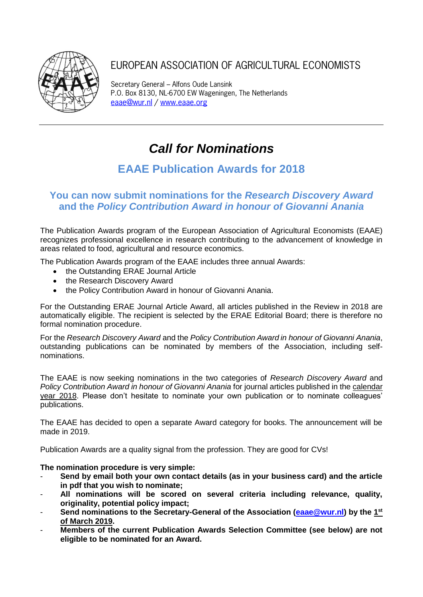

## EUROPEAN ASSOCIATION OF AGRICULTURAL ECONOMISTS

Secretary General – Alfons Oude Lansink P.O. Box 8130, NL-6700 EW Wageningen, The Netherlands [eaae@wur.nl](mailto:eaae@wur.nl) / [www.eaae.org](http://www.eaae.org/)

# *Call for Nominations*

## **EAAE Publication Awards for 2018**

### **You can now submit nominations for the** *Research Discovery Award* **and the** *Policy Contribution Award in honour of Giovanni Anania*

The Publication Awards program of the European Association of Agricultural Economists (EAAE) recognizes professional excellence in research contributing to the advancement of knowledge in areas related to food, agricultural and resource economics.

The Publication Awards program of the EAAE includes three annual Awards:

- the Outstanding ERAE Journal Article
- the Research Discovery Award
- the Policy Contribution Award in honour of Giovanni Anania.

For the Outstanding ERAE Journal Article Award, all articles published in the Review in 2018 are automatically eligible. The recipient is selected by the ERAE Editorial Board; there is therefore no formal nomination procedure.

For the *Research Discovery Award* and the *Policy Contribution Award in honour of Giovanni Anania*, outstanding publications can be nominated by members of the Association, including selfnominations.

The EAAE is now seeking nominations in the two categories of *Research Discovery Award* and *Policy Contribution Award in honour of Giovanni Anania* for journal articles published in the calendar year 2018. Please don't hesitate to nominate your own publication or to nominate colleagues' publications.

The EAAE has decided to open a separate Award category for books. The announcement will be made in 2019.

Publication Awards are a quality signal from the profession. They are good for CVs!

#### **The nomination procedure is very simple:**

- **Send by email both your own contact details (as in your business card) and the article in pdf that you wish to nominate;**
- **All nominations will be scored on several criteria including relevance, quality, originality, potential policy impact;**
- Send nominations to the Secretary-General of the Association (**eaae@wur.nl**) by the 1<sup>st</sup> **of March 2019.**
- **Members of the current Publication Awards Selection Committee (see below) are not eligible to be nominated for an Award.**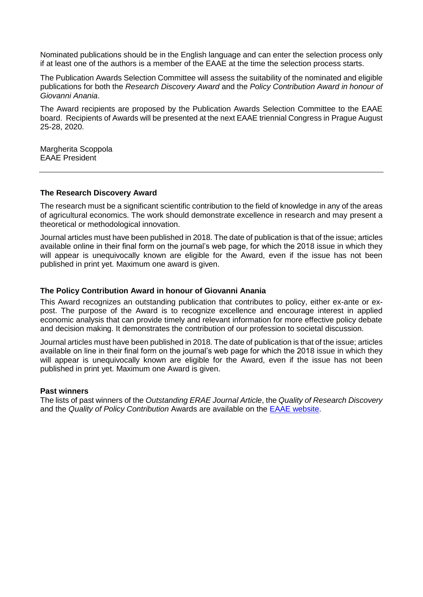Nominated publications should be in the English language and can enter the selection process only if at least one of the authors is a member of the EAAE at the time the selection process starts.

The Publication Awards Selection Committee will assess the suitability of the nominated and eligible publications for both the *Research Discovery Award* and the *Policy Contribution Award in honour of Giovanni Anania*.

The Award recipients are proposed by the Publication Awards Selection Committee to the EAAE board. Recipients of Awards will be presented at the next EAAE triennial Congress in Prague August 25-28, 2020.

Margherita Scoppola EAAE President

#### **The Research Discovery Award**

The research must be a significant scientific contribution to the field of knowledge in any of the areas of agricultural economics. The work should demonstrate excellence in research and may present a theoretical or methodological innovation.

Journal articles must have been published in 2018. The date of publication is that of the issue; articles available online in their final form on the journal's web page, for which the 2018 issue in which they will appear is unequivocally known are eligible for the Award, even if the issue has not been published in print yet. Maximum one award is given.

#### **The Policy Contribution Award in honour of Giovanni Anania**

This Award recognizes an outstanding publication that contributes to policy, either ex-ante or expost. The purpose of the Award is to recognize excellence and encourage interest in applied economic analysis that can provide timely and relevant information for more effective policy debate and decision making. It demonstrates the contribution of our profession to societal discussion.

Journal articles must have been published in 2018. The date of publication is that of the issue; articles available on line in their final form on the journal's web page for which the 2018 issue in which they will appear is unequivocally known are eligible for the Award, even if the issue has not been published in print yet. Maximum one Award is given.

#### **Past winners**

The lists of past winners of the *Outstanding ERAE Journal Article*, the *Quality of Research Discovery* and the *Quality of Policy Contribution* Awards are available on the [EAAE website.](http://www.eaae.org/Awards.aspx)